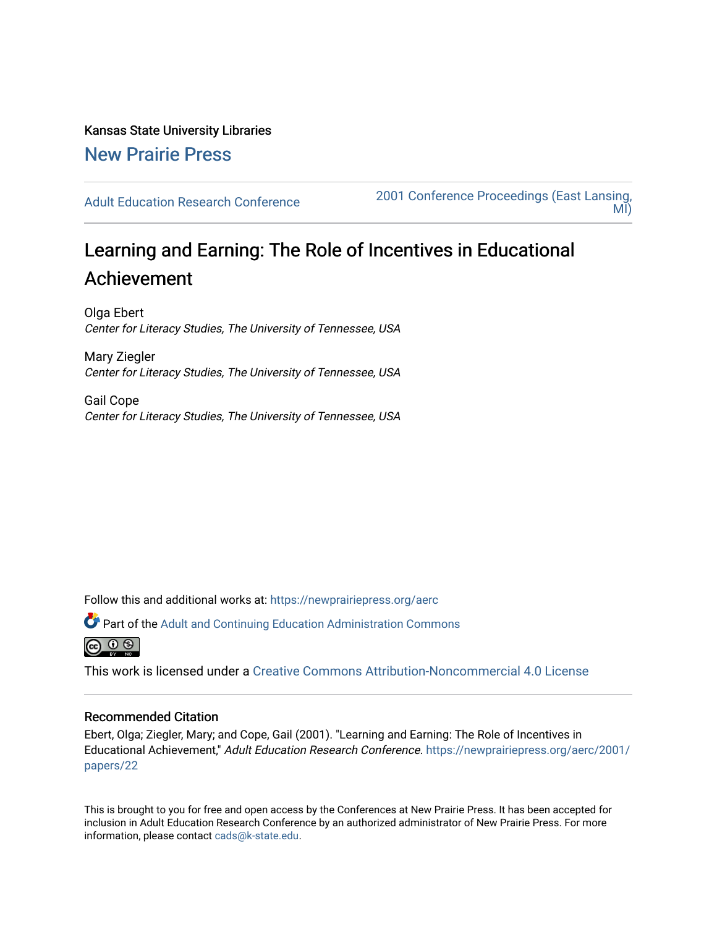Kansas State University Libraries [New Prairie Press](https://newprairiepress.org/) 

[Adult Education Research Conference](https://newprairiepress.org/aerc) [2001 Conference Proceedings \(East Lansing,](https://newprairiepress.org/aerc/2001)  [MI\)](https://newprairiepress.org/aerc/2001) 

## Learning and Earning: The Role of Incentives in Educational Achievement

Olga Ebert Center for Literacy Studies, The University of Tennessee, USA

Mary Ziegler Center for Literacy Studies, The University of Tennessee, USA

Gail Cope Center for Literacy Studies, The University of Tennessee, USA

Follow this and additional works at: [https://newprairiepress.org/aerc](https://newprairiepress.org/aerc?utm_source=newprairiepress.org%2Faerc%2F2001%2Fpapers%2F22&utm_medium=PDF&utm_campaign=PDFCoverPages)

Part of the [Adult and Continuing Education Administration Commons](http://network.bepress.com/hgg/discipline/789?utm_source=newprairiepress.org%2Faerc%2F2001%2Fpapers%2F22&utm_medium=PDF&utm_campaign=PDFCoverPages)

ര  $\circ$ 

This work is licensed under a [Creative Commons Attribution-Noncommercial 4.0 License](https://creativecommons.org/licenses/by-nc/4.0/)

## Recommended Citation

Ebert, Olga; Ziegler, Mary; and Cope, Gail (2001). "Learning and Earning: The Role of Incentives in Educational Achievement," Adult Education Research Conference. [https://newprairiepress.org/aerc/2001/](https://newprairiepress.org/aerc/2001/papers/22) [papers/22](https://newprairiepress.org/aerc/2001/papers/22) 

This is brought to you for free and open access by the Conferences at New Prairie Press. It has been accepted for inclusion in Adult Education Research Conference by an authorized administrator of New Prairie Press. For more information, please contact [cads@k-state.edu](mailto:cads@k-state.edu).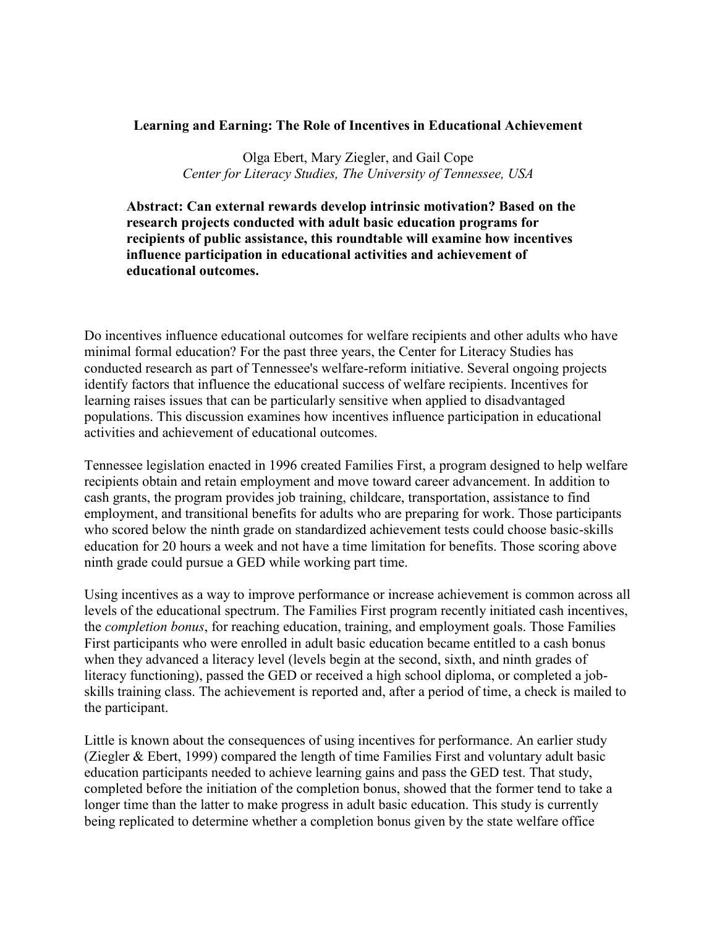## **Learning and Earning: The Role of Incentives in Educational Achievement**

Olga Ebert, Mary Ziegler, and Gail Cope *Center for Literacy Studies, The University of Tennessee, USA*

**Abstract: Can external rewards develop intrinsic motivation? Based on the research projects conducted with adult basic education programs for recipients of public assistance, this roundtable will examine how incentives influence participation in educational activities and achievement of educational outcomes.**

Do incentives influence educational outcomes for welfare recipients and other adults who have minimal formal education? For the past three years, the Center for Literacy Studies has conducted research as part of Tennessee's welfare-reform initiative. Several ongoing projects identify factors that influence the educational success of welfare recipients. Incentives for learning raises issues that can be particularly sensitive when applied to disadvantaged populations. This discussion examines how incentives influence participation in educational activities and achievement of educational outcomes.

Tennessee legislation enacted in 1996 created Families First, a program designed to help welfare recipients obtain and retain employment and move toward career advancement. In addition to cash grants, the program provides job training, childcare, transportation, assistance to find employment, and transitional benefits for adults who are preparing for work. Those participants who scored below the ninth grade on standardized achievement tests could choose basic-skills education for 20 hours a week and not have a time limitation for benefits. Those scoring above ninth grade could pursue a GED while working part time.

Using incentives as a way to improve performance or increase achievement is common across all levels of the educational spectrum. The Families First program recently initiated cash incentives, the *completion bonus*, for reaching education, training, and employment goals. Those Families First participants who were enrolled in adult basic education became entitled to a cash bonus when they advanced a literacy level (levels begin at the second, sixth, and ninth grades of literacy functioning), passed the GED or received a high school diploma, or completed a jobskills training class. The achievement is reported and, after a period of time, a check is mailed to the participant.

Little is known about the consequences of using incentives for performance. An earlier study (Ziegler & Ebert, 1999) compared the length of time Families First and voluntary adult basic education participants needed to achieve learning gains and pass the GED test. That study, completed before the initiation of the completion bonus, showed that the former tend to take a longer time than the latter to make progress in adult basic education. This study is currently being replicated to determine whether a completion bonus given by the state welfare office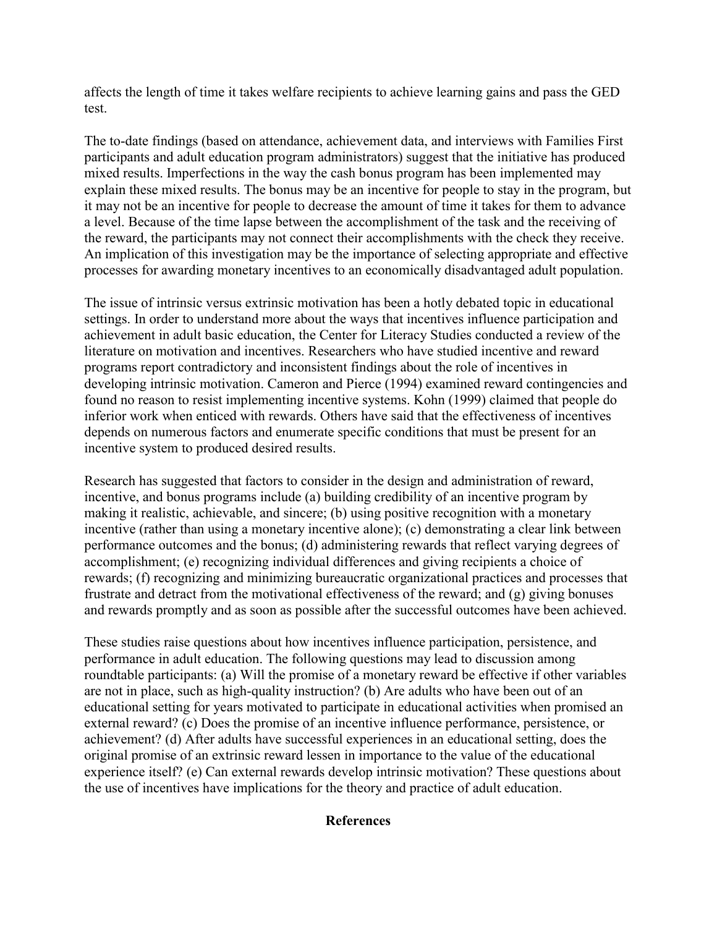affects the length of time it takes welfare recipients to achieve learning gains and pass the GED test.

The to-date findings (based on attendance, achievement data, and interviews with Families First participants and adult education program administrators) suggest that the initiative has produced mixed results. Imperfections in the way the cash bonus program has been implemented may explain these mixed results. The bonus may be an incentive for people to stay in the program, but it may not be an incentive for people to decrease the amount of time it takes for them to advance a level. Because of the time lapse between the accomplishment of the task and the receiving of the reward, the participants may not connect their accomplishments with the check they receive. An implication of this investigation may be the importance of selecting appropriate and effective processes for awarding monetary incentives to an economically disadvantaged adult population.

The issue of intrinsic versus extrinsic motivation has been a hotly debated topic in educational settings. In order to understand more about the ways that incentives influence participation and achievement in adult basic education, the Center for Literacy Studies conducted a review of the literature on motivation and incentives. Researchers who have studied incentive and reward programs report contradictory and inconsistent findings about the role of incentives in developing intrinsic motivation. Cameron and Pierce (1994) examined reward contingencies and found no reason to resist implementing incentive systems. Kohn (1999) claimed that people do inferior work when enticed with rewards. Others have said that the effectiveness of incentives depends on numerous factors and enumerate specific conditions that must be present for an incentive system to produced desired results.

Research has suggested that factors to consider in the design and administration of reward, incentive, and bonus programs include (a) building credibility of an incentive program by making it realistic, achievable, and sincere; (b) using positive recognition with a monetary incentive (rather than using a monetary incentive alone); (c) demonstrating a clear link between performance outcomes and the bonus; (d) administering rewards that reflect varying degrees of accomplishment; (e) recognizing individual differences and giving recipients a choice of rewards; (f) recognizing and minimizing bureaucratic organizational practices and processes that frustrate and detract from the motivational effectiveness of the reward; and (g) giving bonuses and rewards promptly and as soon as possible after the successful outcomes have been achieved.

These studies raise questions about how incentives influence participation, persistence, and performance in adult education. The following questions may lead to discussion among roundtable participants: (a) Will the promise of a monetary reward be effective if other variables are not in place, such as high-quality instruction? (b) Are adults who have been out of an educational setting for years motivated to participate in educational activities when promised an external reward? (c) Does the promise of an incentive influence performance, persistence, or achievement? (d) After adults have successful experiences in an educational setting, does the original promise of an extrinsic reward lessen in importance to the value of the educational experience itself? (e) Can external rewards develop intrinsic motivation? These questions about the use of incentives have implications for the theory and practice of adult education.

## **References**